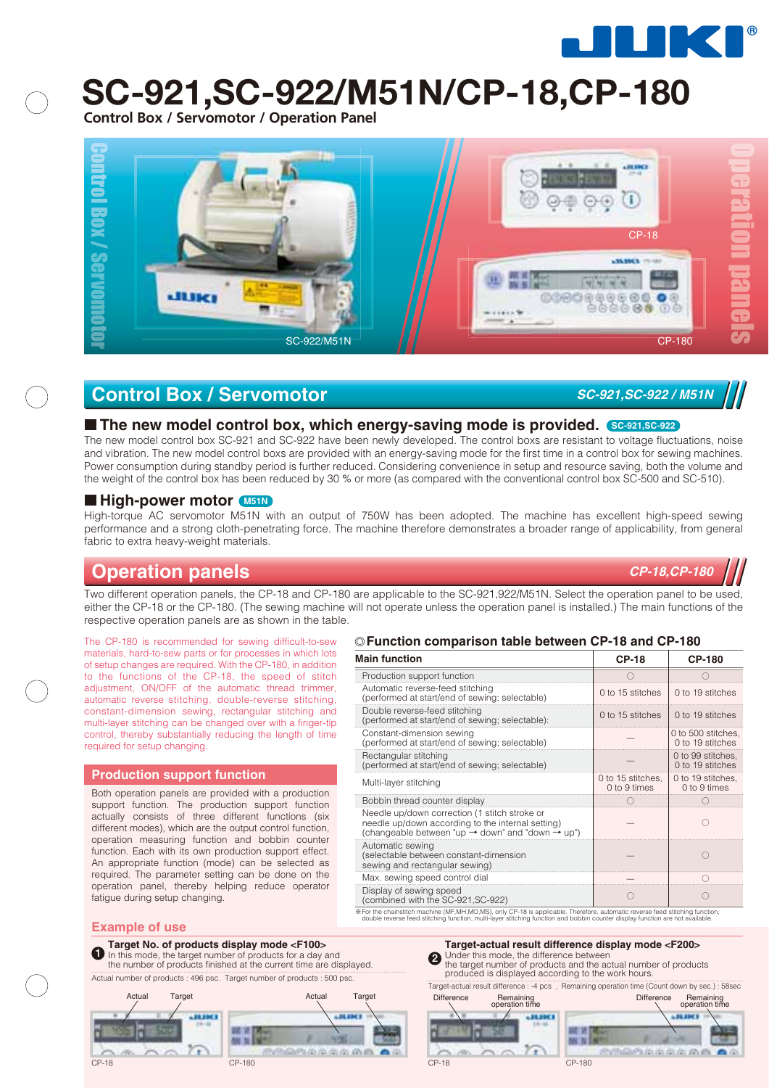

# **SC-921,SC-922/M51N/CP-18,CP-180**

**Control Box / Servomotor / Operation Panel**



### **Control Box / Servomotor** *SC-921,SC-922 / M51N*

#### **The new model control box, which energy-saving mode is provided. SC-921,SC-922**

The new model control box SC-921 and SC-922 have been newly developed. The control boxs are resistant to voltage fluctuations, noise and vibration. The new model control boxs are provided with an energy-saving mode for the first time in a control box for sewing machines. Power consumption during standby period is further reduced. Considering convenience in setup and resource saving, both the volume and the weight of the control box has been reduced by 30 % or more (as compared with the conventional control box SC-500 and SC-510).

#### **High-power motor M51N**

High-torque AC servomotor M51N with an output of 750W has been adopted. The machine has excellent high-speed sewing performance and a strong cloth-penetrating force. The machine therefore demonstrates a broader range of applicability, from general fabric to extra heavy-weight materials.

### **Operation panels**

Two different operation panels, the CP-18 and CP-180 are applicable to the SC-921,922/M51N. Select the operation panel to be used, either the CP-18 or the CP-180. (The sewing machine will not operate unless the operation panel is installed.) The main functions of the respective operation panels are as shown in the table.

The CP-180 is recommended for sewing difficult-to-sew materials, hard-to-sew parts or for processes in which lots of setup changes are required. With the CP-180, in addition to the functions of the CP-18, the speed of stitch adjustment, ON/OFF of the automatic thread trimmer, automatic reverse stitching, double-reverse stitching, constant-dimension sewing, rectangular stitching and multi-layer stitching can be changed over with a finger-tip control, thereby substantially reducing the length of time required for setup changing.

#### **Production support function**

Both operation panels are provided with a production support function. The production support function actually consists of three different functions (six different modes), which are the output control function, operation measuring function and bobbin counter function. Each with its own production support effect. An appropriate function (mode) can be selected as required. The parameter setting can be done on the operation panel, thereby helping reduce operator fatigue during setup changing.

#### **Function comparison table between CP-18 and CP-180**

| <b>Main function</b>                                                                                                                                                           | <b>CP-18</b>                      | <b>CP-180</b>                          |
|--------------------------------------------------------------------------------------------------------------------------------------------------------------------------------|-----------------------------------|----------------------------------------|
| Production support function                                                                                                                                                    |                                   |                                        |
| Automatic reverse-feed stitching<br>(performed at start/end of sewing; selectable)                                                                                             | 0 to 15 stitches                  | 0 to 19 stitches                       |
| Double reverse-feed stitching<br>(performed at start/end of sewing; selectable):                                                                                               | 0 to 15 stitches                  | 0 to 19 stitches                       |
| Constant-dimension sewing<br>(performed at start/end of sewing; selectable)                                                                                                    |                                   | 0 to 500 stitches.<br>0 to 19 stitches |
| Rectangular stitching<br>(performed at start/end of sewing; selectable)                                                                                                        |                                   | 0 to 99 stitches.<br>0 to 19 stitches  |
| Multi-layer stitching                                                                                                                                                          | 0 to 15 stitches.<br>0 to 9 times | 0 to 19 stitches,<br>0 to 9 times      |
| Bobbin thread counter display                                                                                                                                                  |                                   |                                        |
| Needle up/down correction (1 stitch stroke or<br>needle up/down according to the internal setting)<br>(changeable between "up $\rightarrow$ down" and "down $\rightarrow$ up") |                                   | 0                                      |
| Automatic sewing<br>(selectable between constant-dimension<br>sewing and rectangular sewing)                                                                                   |                                   |                                        |
| Max. sewing speed control dial                                                                                                                                                 |                                   |                                        |
| Display of sewing speed<br>(combined with the SC-921, SC-922)                                                                                                                  |                                   |                                        |
| % For the chainstitch machine (MF,MH,MO,MS), only CP-18 is applicable. Therefore, automatic reverse feed stitching function,                                                   |                                   |                                        |

For the chainstitch machine (MF,MH,MO,MS), only CP-18 is applicable. Therefore, automatic reverse feed stitching function,<br>double reverse feed stitching function, multi-layer stitching function and bobbin counter display f

#### **Example of use**

#### **Target No. of products display mode <F100>**

**1 Target No. of products display mode <F100>**<br> **1** In this mode, the target number of products finished at the current time are displayed.<br> **1** Under this mode, the difference between the number of products finished at In this mode, the target number of products for a day and the number of products finished at the current time are displayed. Actual number of products : 496 psc. Target number of products : 500 psc.



produced is displayed according to the work hours.

Target-actual result difference : -4 pcs , Remaining operation time (Count down by sec.) : 58sec



**SERIES** 

ME N GP10000000000



*CP-18,CP-180*